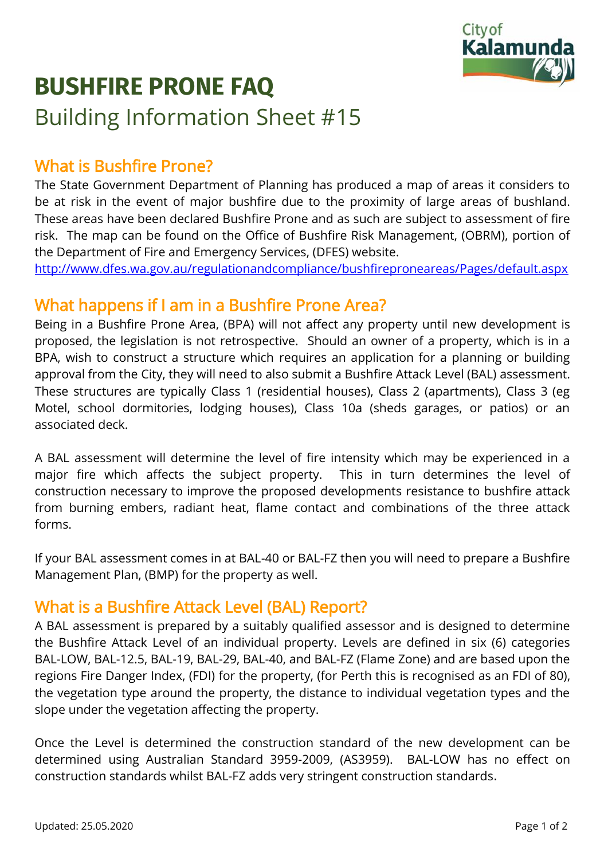

# **BUSHFIRE PRONE FAQ** Building Information Sheet #15

## What is Bushfire Prone?

The State Government Department of Planning has produced a map of areas it considers to be at risk in the event of major bushfire due to the proximity of large areas of bushland. These areas have been declared Bushfire Prone and as such are subject to assessment of fire risk. The map can be found on the Office of Bushfire Risk Management, (OBRM), portion of the Department of Fire and Emergency Services, (DFES) website.

<http://www.dfes.wa.gov.au/regulationandcompliance/bushfireproneareas/Pages/default.aspx>

#### What happens if I am in a Bushfire Prone Area?

Being in a Bushfire Prone Area, (BPA) will not affect any property until new development is proposed, the legislation is not retrospective. Should an owner of a property, which is in a BPA, wish to construct a structure which requires an application for a planning or building approval from the City, they will need to also submit a Bushfire Attack Level (BAL) assessment. These structures are typically Class 1 (residential houses), Class 2 (apartments), Class 3 (eg Motel, school dormitories, lodging houses), Class 10a (sheds garages, or patios) or an associated deck.

A BAL assessment will determine the level of fire intensity which may be experienced in a major fire which affects the subject property. This in turn determines the level of construction necessary to improve the proposed developments resistance to bushfire attack from burning embers, radiant heat, flame contact and combinations of the three attack forms.

If your BAL assessment comes in at BAL-40 or BAL-FZ then you will need to prepare a Bushfire Management Plan, (BMP) for the property as well.

#### What is a Bushfire Attack Level (BAL) Report?

A BAL assessment is prepared by a suitably qualified assessor and is designed to determine the Bushfire Attack Level of an individual property. Levels are defined in six (6) categories BAL-LOW, BAL-12.5, BAL-19, BAL-29, BAL-40, and BAL-FZ (Flame Zone) and are based upon the regions Fire Danger Index, (FDI) for the property, (for Perth this is recognised as an FDI of 80), the vegetation type around the property, the distance to individual vegetation types and the slope under the vegetation affecting the property.

Once the Level is determined the construction standard of the new development can be determined using Australian Standard 3959-2009, (AS3959). BAL-LOW has no effect on construction standards whilst BAL-FZ adds very stringent construction standards.